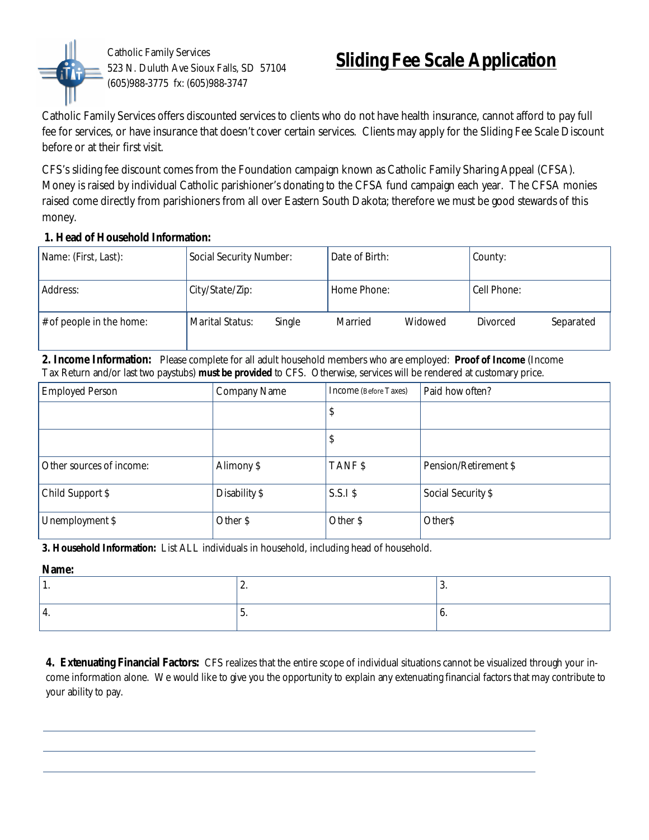

Catholic Family Services 523 N. Duluth Ave Sioux Falls, SD 57104 (605)988-3775 fx: (605)988-3747

## **Sliding Fee Scale Application**

Catholic Family Services offers discounted services to clients who do not have health insurance, cannot afford to pay full fee for services, or have insurance that doesn't cover certain services. Clients may apply for the Sliding Fee Scale Discount before or at their first visit.

CFS's sliding fee discount comes from the Foundation campaign known as Catholic Family Sharing Appeal (CFSA). Money is raised by individual Catholic parishioner's donating to the CFSA fund campaign each year. The CFSA monies raised come directly from parishioners from all over Eastern South Dakota; therefore we must be good stewards of this money.

## **1. Head of Household Information:**

| Name: (First, Last):        | Social Security Number:   | Date of Birth:     | County:               |
|-----------------------------|---------------------------|--------------------|-----------------------|
| Address:                    | City/State/Zip:           | Home Phone:        | Cell Phone:           |
| $\#$ of people in the home: | Marital Status:<br>Single | Married<br>Widowed | Separated<br>Divorced |

**2. Income Information:** Please complete for all adult household members who are employed: **Proof of Income** (Income Tax Return and/or last two paystubs) **must be provided** to CFS. Otherwise, services will be rendered at customary price.

| <b>Employed Person</b>   | <b>Company Name</b> | Income (Before Taxes) | Paid how often?       |
|--------------------------|---------------------|-----------------------|-----------------------|
|                          |                     | \$                    |                       |
|                          |                     | \$                    |                       |
| Other sources of income: | Alimony \$          | TANF\$                | Pension/Retirement \$ |
| Child Support \$         | Disability \$       | $S.S.I$ \$            | Social Security \$    |
| Unemployment \$          | Other \$            | Other \$              | Other\$               |

**3. Household Information:** List ALL individuals in household, including head of household.

**Name:**

|  | . . |
|--|-----|
|  |     |

**4. Extenuating Financial Factors:** CFS realizes that the entire scope of individual situations cannot be visualized through your income information alone. We would like to give you the opportunity to explain any extenuating financial factors that may contribute to your ability to pay.